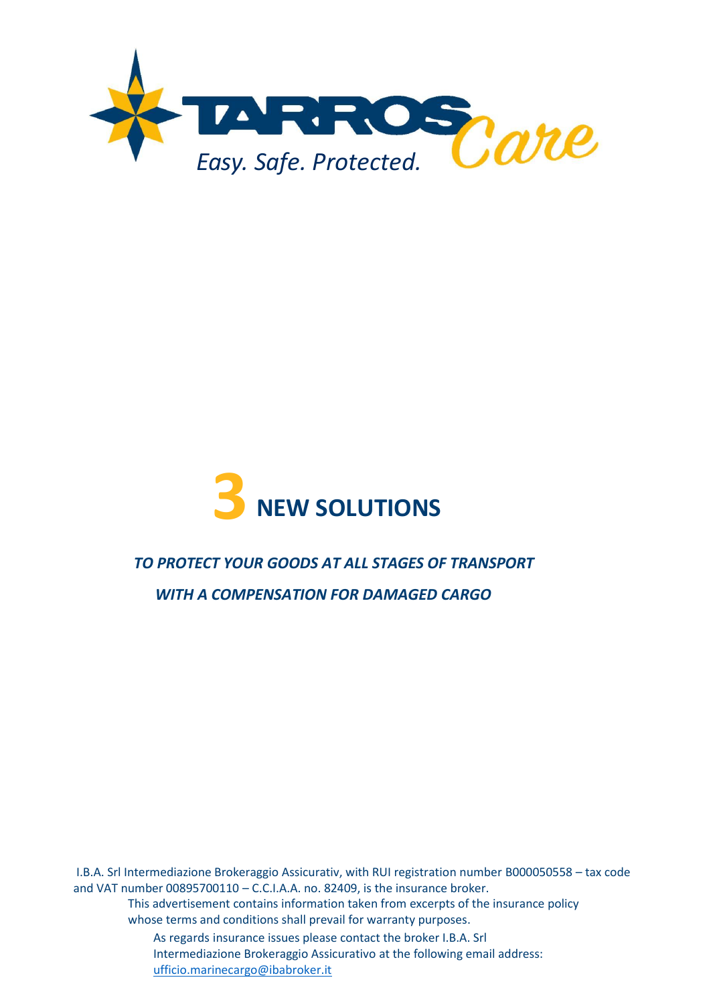



# *TO PROTECT YOUR GOODS AT ALL STAGES OF TRANSPORT*

*WITH A COMPENSATION FOR DAMAGED CARGO*

I.B.A. Srl Intermediazione Brokeraggio Assicurativ, with RUI registration number B000050558 – tax code and VAT number 00895700110 – C.C.I.A.A. no. 82409, is the insurance broker.

This advertisement contains information taken from excerpts of the insurance policy whose terms and conditions shall prevail for warranty purposes.

As regards insurance issues please contact the broker I.B.A. Srl Intermediazione Brokeraggio Assicurativo at the following email address: [ufficio.marinecargo@ibabroker.it](mailto:ufficio.marinecargo@ibabroker.it)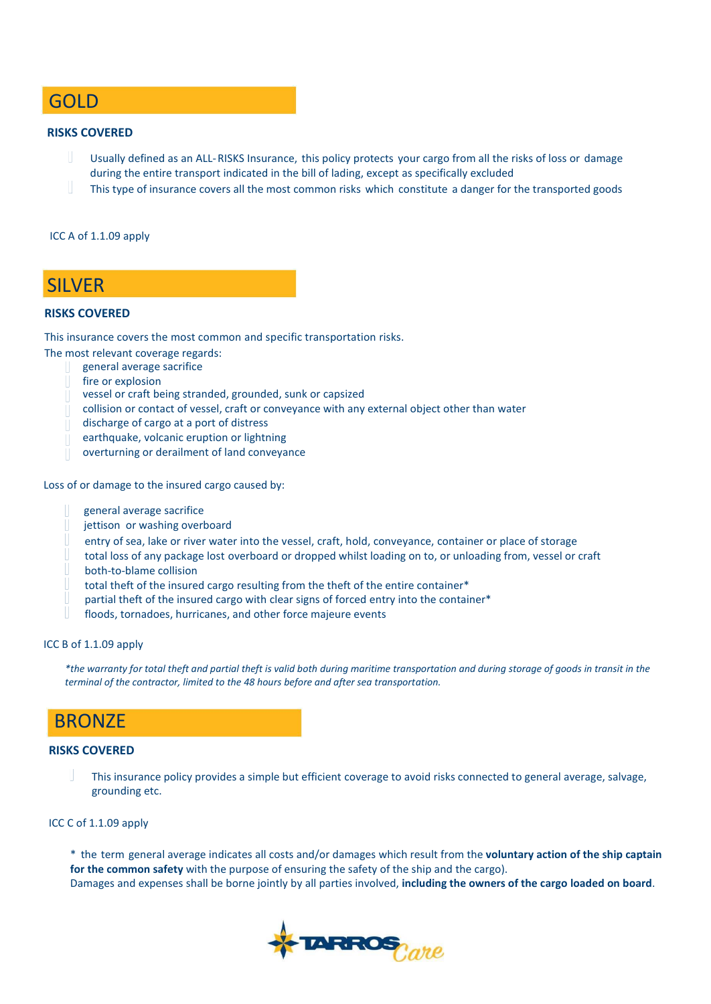### GOLD

### **RISKS COVERED**

- Usually defined as an ALL-RISKS Insurance, this policy protects your cargo from all the risks of loss or damage during the entire transport indicated in the bill of lading, except as specifically excluded
- This type of insurance covers all the most common risks which constitute a danger for the transported goods

### ICC A of 1.1.09 apply

### SILVER

### **RISKS COVERED**

This insurance covers the most common and specific transportation risks.

The most relevant coverage regards:

- general average sacrifice
	- fire or explosion
	- vessel or craft being stranded, grounded, sunk or capsized
	- collision or contact of vessel, craft or conveyance with any external object other than water
	- discharge of cargo at a port of distress
	- earthquake, volcanic eruption or lightning
	- overturning or derailment of land conveyance

Loss of or damage to the insured cargo caused by:

- general average sacrifice
- jettison or washing overboard
- entry of sea, lake or river water into the vessel, craft, hold, conveyance, container or place of storage
- total loss of any package lost overboard or dropped whilst loading on to, or unloading from, vessel or craft both-to-blame collision
- total theft of the insured cargo resulting from the theft of the entire container\*
- partial theft of the insured cargo with clear signs of forced entry into the container\*
- floods, tornadoes, hurricanes, and other force majeure events

#### ICC B of 1.1.09 apply

*\*the warranty for total theft and partial theft is valid both during maritime transportation and during storage of goods in transit in the terminal of the contractor, limited to the 48 hours before and after sea transportation.* 

### BRONZE

### **RISKS COVERED**

This insurance policy provides a simple but efficient coverage to avoid risks connected to general average, salvage, grounding etc.

### ICC C of 1.1.09 apply

\* the term general average indicates all costs and/or damages which result from the **voluntary action of the ship captain for the common safety** with the purpose of ensuring the safety of the ship and the cargo). Damages and expenses shall be borne jointly by all parties involved, **including the owners of the cargo loaded on board**.

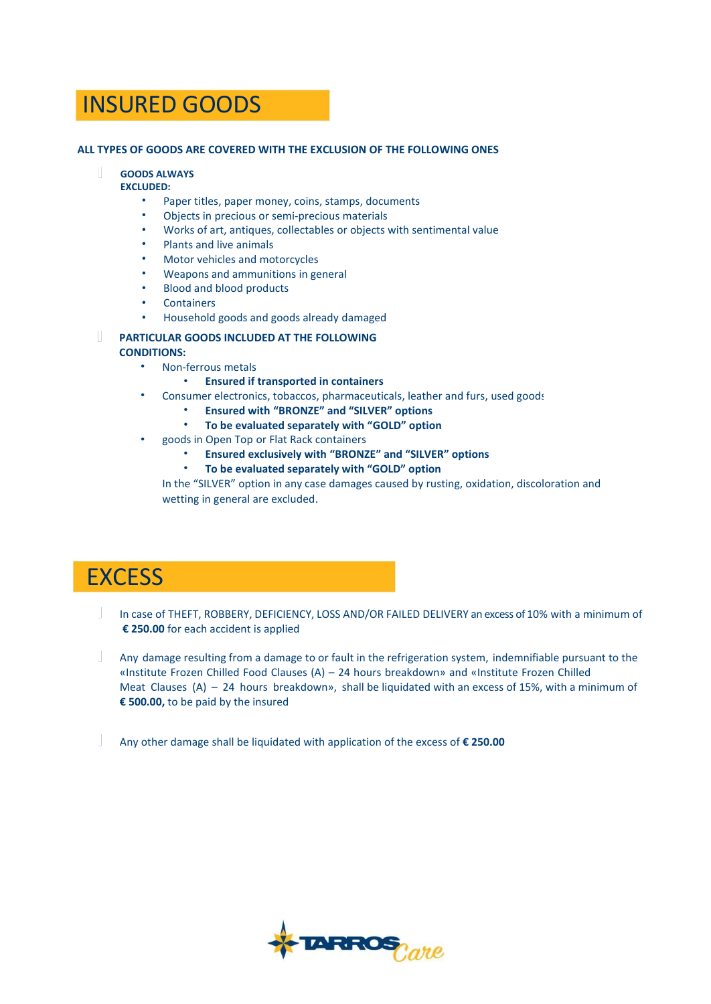## INSURED GOODS

### **ALL TYPES OF GOODS ARE COVERED WITH THE EXCLUSION OF THE FOLLOWING ONES**

### **GOODS ALWAYS**

### **EXCLUDED:**

•

- Paper titles, paper money, coins, stamps, documents
- Objects in precious or semi-precious materials
- Works of art, antiques, collectables or objects with sentimental value
- Plants and live animals
- Motor vehicles and motorcycles
- Weapons and ammunitions in general
- Blood and blood products
- Containers
- Household goods and goods already damaged

#### **PARTICULAR GOODS INCLUDED AT THE FOLLOWING CONDITIONS:**

- Non-ferrous metals
	- **Ensured if transported in containers**
- Consumer electronics, tobaccos, pharmaceuticals, leather and furs, used goods
	- **Ensured with "BRONZE" and "SILVER" options**
		- **To be evaluated separately with "GOLD" option**
- goods in Open Top or Flat Rack containers
	- **Ensured exclusively with "BRONZE" and "SILVER" options**
	- **To be evaluated separately with "GOLD" option**

In the "SILVER" option in any case damages caused by rusting, oxidation, discoloration and wetting in general are excluded.

## **EXCESS**

- In case of THEFT, ROBBERY, DEFICIENCY, LOSS AND/OR FAILED DELIVERY an excess of 10% with a minimum of **€ 250.00** for each accident is applied
- Any damage resulting from a damage to or fault in the refrigeration system, indemnifiable pursuant to the «Institute Frozen Chilled Food Clauses (A) – 24 hours breakdown» and «Institute Frozen Chilled Meat Clauses  $(A) - 24$  hours breakdown», shall be liquidated with an excess of 15%, with a minimum of **€ 500.00,** to be paid by the insured

Any other damage shall be liquidated with application of the excess of **€ 250.00**